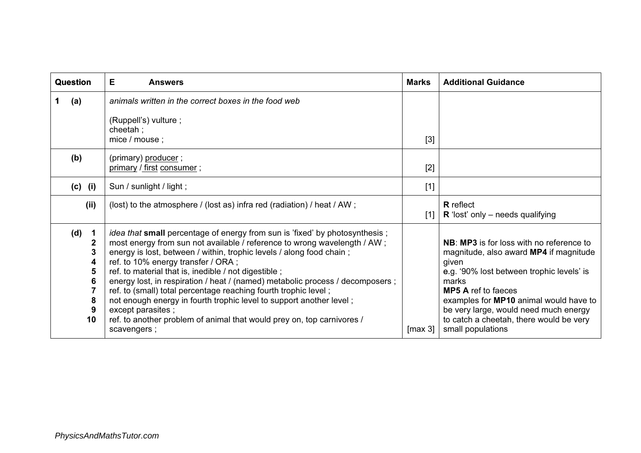| Question                                                                                                                          | Е<br><b>Answers</b>                                                                                                                                                                                                                                                                                                                                                                                                                                                                                                                                                                                                                                                             | <b>Marks</b> | <b>Additional Guidance</b>                                                                                                                                                                                                                                                                                                         |
|-----------------------------------------------------------------------------------------------------------------------------------|---------------------------------------------------------------------------------------------------------------------------------------------------------------------------------------------------------------------------------------------------------------------------------------------------------------------------------------------------------------------------------------------------------------------------------------------------------------------------------------------------------------------------------------------------------------------------------------------------------------------------------------------------------------------------------|--------------|------------------------------------------------------------------------------------------------------------------------------------------------------------------------------------------------------------------------------------------------------------------------------------------------------------------------------------|
| (a)                                                                                                                               | animals written in the correct boxes in the food web<br>(Ruppell's) vulture;<br>cheetah;<br>mice / mouse;                                                                                                                                                                                                                                                                                                                                                                                                                                                                                                                                                                       | [3]          |                                                                                                                                                                                                                                                                                                                                    |
| (b)                                                                                                                               | (primary) producer;<br>primary / first consumer;                                                                                                                                                                                                                                                                                                                                                                                                                                                                                                                                                                                                                                |              |                                                                                                                                                                                                                                                                                                                                    |
| $(c)$ (i)                                                                                                                         | Sun / sunlight / light;                                                                                                                                                                                                                                                                                                                                                                                                                                                                                                                                                                                                                                                         | $[1]$        |                                                                                                                                                                                                                                                                                                                                    |
| (ii)                                                                                                                              | (lost) to the atmosphere / (lost as) infra red (radiation) / heat / AW;                                                                                                                                                                                                                                                                                                                                                                                                                                                                                                                                                                                                         | $[1]$        | <b>R</b> reflect<br>$\bf R$ 'lost' only – needs qualifying                                                                                                                                                                                                                                                                         |
| (d)<br>$\mathbf{1}$<br>$\boldsymbol{2}$<br>$\overline{\mathbf{3}}$<br>4<br>5<br>$6\phantom{1}6$<br>$\overline{7}$<br>8<br>9<br>10 | <i>idea that</i> small percentage of energy from sun is 'fixed' by photosynthesis;<br>most energy from sun not available / reference to wrong wavelength / AW;<br>energy is lost, between / within, trophic levels / along food chain;<br>ref. to 10% energy transfer / ORA ;<br>ref. to material that is, inedible / not digestible;<br>energy lost, in respiration / heat / (named) metabolic process / decomposers ;<br>ref. to (small) total percentage reaching fourth trophic level;<br>not enough energy in fourth trophic level to support another level;<br>except parasites;<br>ref. to another problem of animal that would prey on, top carnivores /<br>scavengers; | [max 3]      | NB: MP3 is for loss with no reference to<br>magnitude, also award MP4 if magnitude<br>given<br>e.g. '90% lost between trophic levels' is<br>marks<br><b>MP5 A</b> ref to faeces<br>examples for MP10 animal would have to<br>be very large, would need much energy<br>to catch a cheetah, there would be very<br>small populations |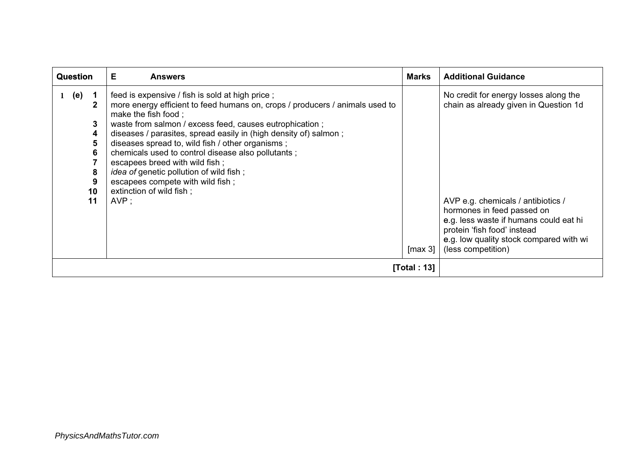| <b>Question</b>                                                   | Е<br><b>Answers</b>                                                                                                                                                                                                                                                                                                                                                                                                                                                                                                                                            | <b>Marks</b>           | <b>Additional Guidance</b>                                                                                                                                                                                                                                                                   |
|-------------------------------------------------------------------|----------------------------------------------------------------------------------------------------------------------------------------------------------------------------------------------------------------------------------------------------------------------------------------------------------------------------------------------------------------------------------------------------------------------------------------------------------------------------------------------------------------------------------------------------------------|------------------------|----------------------------------------------------------------------------------------------------------------------------------------------------------------------------------------------------------------------------------------------------------------------------------------------|
| (e)<br>$\mathbf 1$<br>2<br>3<br>4<br>5<br>6<br>8<br>9<br>10<br>11 | feed is expensive / fish is sold at high price;<br>more energy efficient to feed humans on, crops / producers / animals used to<br>make the fish food;<br>waste from salmon / excess feed, causes eutrophication;<br>diseases / parasites, spread easily in (high density of) salmon;<br>diseases spread to, wild fish / other organisms;<br>chemicals used to control disease also pollutants;<br>escapees breed with wild fish;<br><i>idea of genetic pollution of wild fish;</i><br>escapees compete with wild fish;<br>extinction of wild fish;<br>$AVP$ ; | $\lceil \max 3 \rceil$ | No credit for energy losses along the<br>chain as already given in Question 1d<br>AVP e.g. chemicals / antibiotics /<br>hormones in feed passed on<br>e.g. less waste if humans could eat hi<br>protein 'fish food' instead<br>e.g. low quality stock compared with wi<br>(less competition) |
|                                                                   | [Total: 13]                                                                                                                                                                                                                                                                                                                                                                                                                                                                                                                                                    |                        |                                                                                                                                                                                                                                                                                              |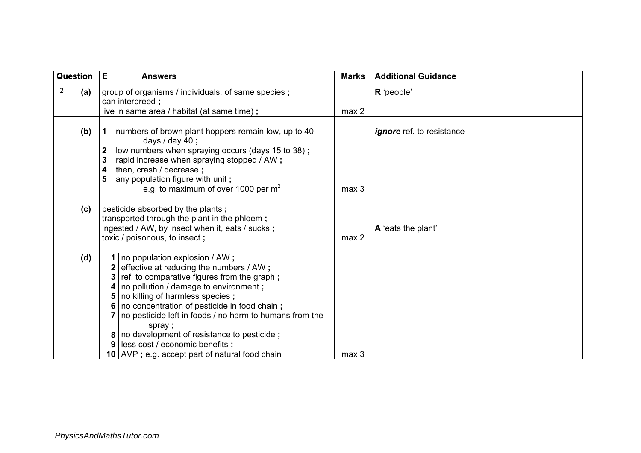| Question |     | E<br><b>Answers</b>                                                                                                                                                                                                                                                                                                                                                                                                  |                  | <b>Additional Guidance</b>       |  |
|----------|-----|----------------------------------------------------------------------------------------------------------------------------------------------------------------------------------------------------------------------------------------------------------------------------------------------------------------------------------------------------------------------------------------------------------------------|------------------|----------------------------------|--|
|          | (a) | group of organisms / individuals, of same species;<br>can interbreed;<br>live in same area / habitat (at same time);                                                                                                                                                                                                                                                                                                 |                  | R 'people'                       |  |
|          | (b) | numbers of brown plant hoppers remain low, up to 40<br>1<br>days $/$ day 40;<br>low numbers when spraying occurs (days 15 to 38);<br>2<br>rapid increase when spraying stopped / AW;<br>3<br>then, crash / decrease;<br>4<br>any population figure with unit;<br>5<br>e.g. to maximum of over 1000 per $m^2$                                                                                                         | max <sub>3</sub> | <i>ignore</i> ref. to resistance |  |
|          | (c) | pesticide absorbed by the plants;<br>transported through the plant in the phloem;<br>ingested / AW, by insect when it, eats / sucks;<br>toxic / poisonous, to insect;                                                                                                                                                                                                                                                | max <sub>2</sub> | A 'eats the plant'               |  |
|          | (d) | 1   no population explosion / AW;<br>effective at reducing the numbers / AW;<br>ref. to comparative figures from the graph;<br>no pollution / damage to environment;<br>5   no killing of harmless species;<br>no concentration of pesticide in food chain;<br>no pesticide left in foods / no harm to humans from the<br>spray;<br>8   no development of resistance to pesticide;<br>less cost / economic benefits; |                  |                                  |  |
|          |     | 10 $\vert$ AVP ; e.g. accept part of natural food chain                                                                                                                                                                                                                                                                                                                                                              | max <sub>3</sub> |                                  |  |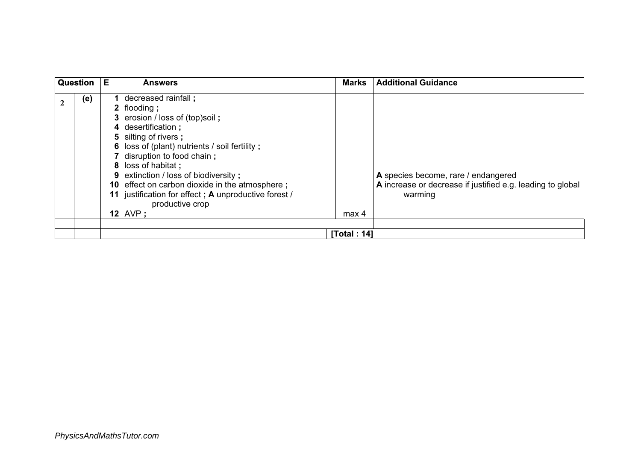|             | Question | Е | <b>Answers</b>                                                                                                                                                                                                                                                                                                                                                                                           | <b>Marks</b>     | <b>Additional Guidance</b>                                                                                   |
|-------------|----------|---|----------------------------------------------------------------------------------------------------------------------------------------------------------------------------------------------------------------------------------------------------------------------------------------------------------------------------------------------------------------------------------------------------------|------------------|--------------------------------------------------------------------------------------------------------------|
| $\mathbf 2$ | (e)      | 9 | decreased rainfall;<br>$2$   flooding ;<br>3   erosion / loss of (top)soil;<br>$4$ desertification ;<br>5 silting of rivers;<br>6 loss of (plant) nutrients / soil fertility;<br>7 disruption to food chain;<br>8 loss of habitat;<br>  extinction / loss of biodiversity ;<br>10 effect on carbon dioxide in the atmosphere;<br>11 justification for effect; A unproductive forest /<br>productive crop |                  | A species become, rare / endangered<br>A increase or decrease if justified e.g. leading to global<br>warming |
|             |          |   | $12$ AVP ;                                                                                                                                                                                                                                                                                                                                                                                               | max <sub>4</sub> |                                                                                                              |
|             |          |   |                                                                                                                                                                                                                                                                                                                                                                                                          | [Total: 14]      |                                                                                                              |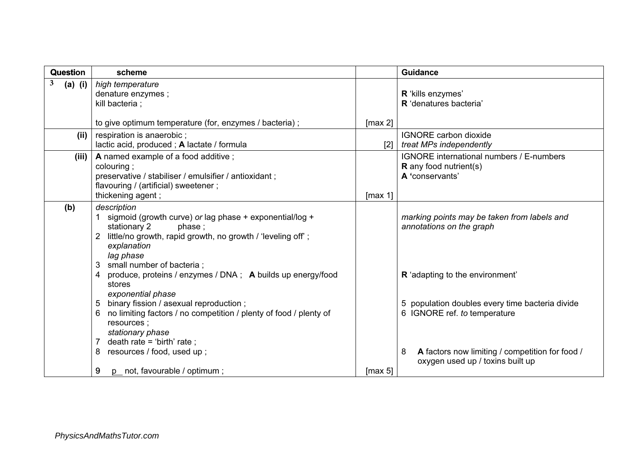| Question       | scheme                                                                                                                                                                                                                                                                                                                           |         | <b>Guidance</b>                                                                                                                                                                                                |
|----------------|----------------------------------------------------------------------------------------------------------------------------------------------------------------------------------------------------------------------------------------------------------------------------------------------------------------------------------|---------|----------------------------------------------------------------------------------------------------------------------------------------------------------------------------------------------------------------|
| 3<br>$(a)$ (i) | high temperature<br>denature enzymes;<br>kill bacteria;                                                                                                                                                                                                                                                                          |         | R 'kills enzymes'<br>R 'denatures bacteria'                                                                                                                                                                    |
|                | to give optimum temperature (for, enzymes / bacteria);                                                                                                                                                                                                                                                                           | [max 2] |                                                                                                                                                                                                                |
| (ii)           | respiration is anaerobic;<br>lactic acid, produced; A lactate / formula                                                                                                                                                                                                                                                          | [2]     | <b>IGNORE</b> carbon dioxide<br>treat MPs independently                                                                                                                                                        |
| (iii)          | A named example of a food additive;<br>colouring;<br>preservative / stabiliser / emulsifier / antioxidant;<br>flavouring / (artificial) sweetener;<br>thickening agent;                                                                                                                                                          | [max 1] | <b>IGNORE</b> international numbers / E-numbers<br><b>R</b> any food nutrient(s)<br>A 'conservants'                                                                                                            |
| (b)            | description<br>sigmoid (growth curve) or lag phase + exponential/log +<br>stationary 2<br>phase;<br>little/no growth, rapid growth, no growth / 'leveling off';<br>explanation<br>lag phase<br>small number of bacteria;<br>3                                                                                                    |         | marking points may be taken from labels and<br>annotations on the graph                                                                                                                                        |
|                | produce, proteins / enzymes / DNA ; A builds up energy/food<br>4<br>stores<br>exponential phase<br>binary fission / asexual reproduction;<br>5<br>no limiting factors / no competition / plenty of food / plenty of<br>6<br>resources;<br>stationary phase<br>death rate = 'birth' rate;<br>7<br>resources / food, used up;<br>8 |         | R 'adapting to the environment'<br>5 population doubles every time bacteria divide<br>6 IGNORE ref. to temperature<br>A factors now limiting / competition for food /<br>8<br>oxygen used up / toxins built up |
|                | p_ not, favourable / optimum;<br>9                                                                                                                                                                                                                                                                                               | [max 5] |                                                                                                                                                                                                                |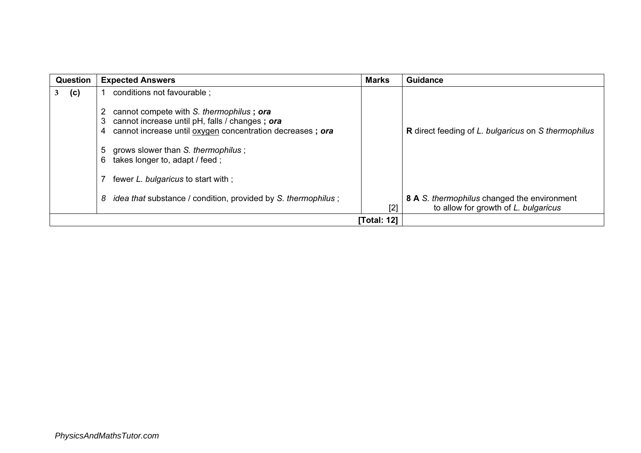| <b>Question</b> | <b>Expected Answers</b>                                                                                                                                                                                                                                                                   | <b>Marks</b> | <b>Guidance</b>                                                                     |
|-----------------|-------------------------------------------------------------------------------------------------------------------------------------------------------------------------------------------------------------------------------------------------------------------------------------------|--------------|-------------------------------------------------------------------------------------|
| (c)             | conditions not favourable ;                                                                                                                                                                                                                                                               |              |                                                                                     |
|                 | cannot compete with S. thermophilus; ora<br>cannot increase until pH, falls / changes; ora<br>3<br>cannot increase until oxygen concentration decreases; ora<br>4<br>grows slower than S. thermophilus;<br>5<br>takes longer to, adapt / feed;<br>6<br>fewer L. bulgaricus to start with; |              | <b>R</b> direct feeding of L. bulgaricus on S thermophilus                          |
|                 | <i>idea that substance / condition, provided by S. thermophilus;</i><br>8                                                                                                                                                                                                                 | [2]          | 8 A S. thermophilus changed the environment<br>to allow for growth of L. bulgaricus |
| [Total: 12]     |                                                                                                                                                                                                                                                                                           |              |                                                                                     |